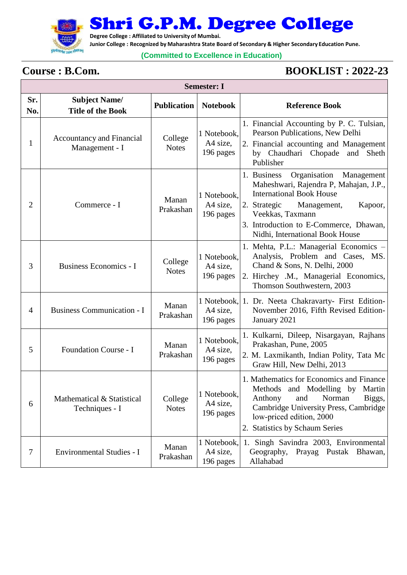

Shri G.P.M. Degree College

**Degree College : Affiliated to University of Mumbai.**

**Junior College : Recognized by Maharashtra State Board of Secondary & Higher Secondary Education Pune.**

## **(Committed to Excellence in Education)**

**Semester: I**

Γ

## **Course : B.Com. BOOKLIST : 2022-23**

| Semester: 1    |                                                    |                         |                                      |                                                                                                                                                                                                                                                                   |  |  |
|----------------|----------------------------------------------------|-------------------------|--------------------------------------|-------------------------------------------------------------------------------------------------------------------------------------------------------------------------------------------------------------------------------------------------------------------|--|--|
| Sr.<br>No.     | <b>Subject Name/</b><br><b>Title of the Book</b>   | <b>Publication</b>      | <b>Notebook</b>                      | <b>Reference Book</b>                                                                                                                                                                                                                                             |  |  |
| 1              | <b>Accountancy and Financial</b><br>Management - I | College<br><b>Notes</b> | 1 Notebook,<br>A4 size,<br>196 pages | 1. Financial Accounting by P. C. Tulsian,<br>Pearson Publications, New Delhi<br>2. Financial accounting and Management<br>by Chaudhari Chopade and Sheth<br>Publisher                                                                                             |  |  |
| $\overline{2}$ | Commerce - I                                       | Manan<br>Prakashan      | 1 Notebook,<br>A4 size,<br>196 pages | Organisation<br>1. Business<br>Management<br>Maheshwari, Rajendra P, Mahajan, J.P.,<br><b>International Book House</b><br>2. Strategic<br>Kapoor,<br>Management,<br>Veekkas, Taxmann<br>3. Introduction to E-Commerce, Dhawan,<br>Nidhi, International Book House |  |  |
| 3              | <b>Business Economics - I</b>                      | College<br><b>Notes</b> | 1 Notebook,<br>A4 size,<br>196 pages | 1. Mehta, P.L.: Managerial Economics -<br>Analysis, Problem and Cases, MS.<br>Chand & Sons, N. Delhi, 2000<br>2. Hirchey .M., Managerial Economics,<br>Thomson Southwestern, 2003                                                                                 |  |  |
| 4              | <b>Business Communication - I</b>                  | Manan<br>Prakashan      | 1 Notebook,<br>A4 size,<br>196 pages | 1. Dr. Neeta Chakravarty- First Edition-<br>November 2016, Fifth Revised Edition-<br>January 2021                                                                                                                                                                 |  |  |
| 5              | Foundation Course - I                              | Manan<br>Prakashan      | 1 Notebook,<br>A4 size,<br>196 pages | 1. Kulkarni, Dileep, Nisargayan, Rajhans<br>Prakashan, Pune, 2005<br>2. M. Laxmikanth, Indian Polity, Tata Mc<br>Graw Hill, New Delhi, 2013                                                                                                                       |  |  |
| 6              | Mathematical & Statistical<br>Techniques - I       | College<br><b>Notes</b> | 1 Notebook,<br>A4 size,<br>196 pages | 1. Mathematics for Economics and Finance<br>Methods and Modelling by Martin<br>Norman<br>Anthony<br>and<br>Biggs,<br>Cambridge University Press, Cambridge<br>low-priced edition, 2000<br>2. Statistics by Schaum Series                                          |  |  |
| 7              | <b>Environmental Studies - I</b>                   | Manan<br>Prakashan      | 1 Notebook,<br>A4 size,<br>196 pages | 1. Singh Savindra 2003, Environmental<br>Geography,<br>Prayag Pustak Bhawan,<br>Allahabad                                                                                                                                                                         |  |  |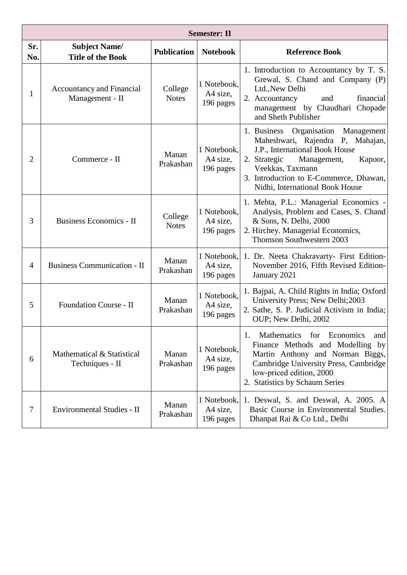| <b>Semester: II</b> |                                                     |                         |                                      |                                                                                                                                                                                                                                                         |  |  |
|---------------------|-----------------------------------------------------|-------------------------|--------------------------------------|---------------------------------------------------------------------------------------------------------------------------------------------------------------------------------------------------------------------------------------------------------|--|--|
| Sr.<br>No.          | <b>Subject Name/</b><br><b>Title of the Book</b>    | <b>Publication</b>      | <b>Notebook</b>                      | <b>Reference Book</b>                                                                                                                                                                                                                                   |  |  |
| 1                   | <b>Accountancy and Financial</b><br>Management - II | College<br><b>Notes</b> | 1 Notebook,<br>A4 size,<br>196 pages | 1. Introduction to Accountancy by T. S.<br>Grewal, S. Chand and Company (P)<br>Ltd., New Delhi<br>2. Accountancy<br>and<br>financial<br>management by Chaudhari Chopade<br>and Sheth Publisher                                                          |  |  |
| 2                   | Commerce - II                                       | Manan<br>Prakashan      | 1 Notebook,<br>A4 size,<br>196 pages | 1. Business Organisation<br>Management<br>Maheshwari, Rajendra P, Mahajan,<br>J.P., International Book House<br>2. Strategic<br>Management,<br>Kapoor,<br>Veekkas, Taxmann<br>3. Introduction to E-Commerce, Dhawan,<br>Nidhi, International Book House |  |  |
| 3                   | <b>Business Economics - II</b>                      | College<br><b>Notes</b> | 1 Notebook,<br>A4 size,<br>196 pages | 1. Mehta, P.L.: Managerial Economics -<br>Analysis, Problem and Cases, S. Chand<br>& Sons, N. Delhi, 2000<br>2. Hirchey. Managerial Economics,<br>Thomson Southwestern 2003                                                                             |  |  |
| 4                   | <b>Business Communication - II</b>                  | Manan<br>Prakashan      | 1 Notebook,<br>A4 size,<br>196 pages | 1. Dr. Neeta Chakravarty- First Edition-<br>November 2016, Fifth Revised Edition-<br>January 2021                                                                                                                                                       |  |  |
| 5                   | <b>Foundation Course - II</b>                       | Manan<br>Prakashan      | 1 Notebook,<br>A4 size,<br>196 pages | 1. Bajpai, A. Child Rights in India; Oxford<br>University Press; New Delhi; 2003<br>2. Sathe, S. P. Judicial Activism in India;<br>OUP; New Delhi, 2002                                                                                                 |  |  |
| 6                   | Mathematical & Statistical<br>Techniques - II       | Manan<br>Prakashan      | 1 Notebook,<br>A4 size,<br>196 pages | <b>Mathematics</b><br>for Economics<br>1.<br>and<br>Finance Methods and Modelling by<br>Martin Anthony and Norman Biggs,<br>Cambridge University Press, Cambridge<br>low-priced edition, 2000<br>2. Statistics by Schaum Series                         |  |  |
| 7                   | Environmental Studies - II                          | Manan<br>Prakashan      | 1 Notebook,<br>A4 size,<br>196 pages | 1. Deswal, S. and Deswal, A. 2005. A<br>Basic Course in Environmental Studies.<br>Dhanpat Rai & Co Ltd., Delhi                                                                                                                                          |  |  |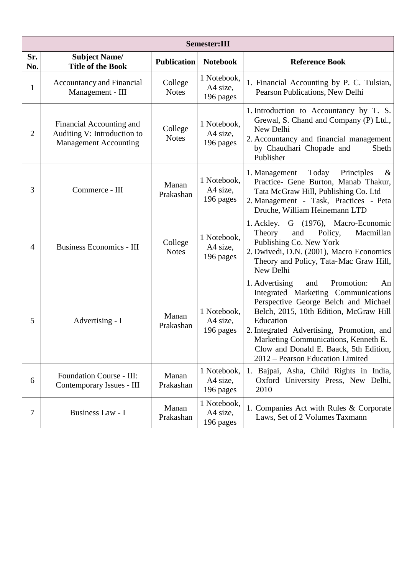|                | <b>Semester:III</b>                                                                     |                         |                                      |                                                                                                                                                                                                                                                                                                                                                    |  |  |  |
|----------------|-----------------------------------------------------------------------------------------|-------------------------|--------------------------------------|----------------------------------------------------------------------------------------------------------------------------------------------------------------------------------------------------------------------------------------------------------------------------------------------------------------------------------------------------|--|--|--|
| Sr.<br>No.     | <b>Subject Name/</b><br><b>Title of the Book</b>                                        | <b>Publication</b>      | <b>Notebook</b>                      | <b>Reference Book</b>                                                                                                                                                                                                                                                                                                                              |  |  |  |
| $\mathbf{1}$   | <b>Accountancy and Financial</b><br>Management - III                                    | College<br><b>Notes</b> | 1 Notebook,<br>A4 size,<br>196 pages | 1. Financial Accounting by P. C. Tulsian,<br>Pearson Publications, New Delhi                                                                                                                                                                                                                                                                       |  |  |  |
| $\overline{2}$ | Financial Accounting and<br>Auditing V: Introduction to<br><b>Management Accounting</b> | College<br><b>Notes</b> | 1 Notebook,<br>A4 size,<br>196 pages | 1. Introduction to Accountancy by T. S.<br>Grewal, S. Chand and Company (P) Ltd.,<br>New Delhi<br>2. Accountancy and financial management<br>by Chaudhari Chopade and<br>Sheth<br>Publisher                                                                                                                                                        |  |  |  |
| 3              | Commerce - III                                                                          | Manan<br>Prakashan      | 1 Notebook,<br>A4 size,<br>196 pages | Today<br>Principles<br>1. Management<br>&<br>Practice- Gene Burton, Manab Thakur,<br>Tata McGraw Hill, Publishing Co. Ltd<br>2. Management - Task, Practices - Peta<br>Druche, William Heinemann LTD                                                                                                                                               |  |  |  |
| 4              | <b>Business Economics - III</b>                                                         | College<br><b>Notes</b> | 1 Notebook,<br>A4 size,<br>196 pages | 1. Ackley. G (1976), Macro-Economic<br>Policy,<br>Macmillan<br>Theory<br>and<br>Publishing Co. New York<br>2. Dwivedi, D.N. (2001), Macro Economics<br>Theory and Policy, Tata-Mac Graw Hill,<br>New Delhi                                                                                                                                         |  |  |  |
| 5              | Advertising - I                                                                         | Manan<br>Prakashan      | 1 Notebook,<br>A4 size,<br>196 pages | Promotion:<br>1. Advertising<br>An<br>and<br>Integrated Marketing Communications<br>Perspective George Belch and Michael<br>Belch, 2015, 10th Edition, McGraw Hill<br>Education<br>2. Integrated Advertising, Promotion, and<br>Marketing Communications, Kenneth E.<br>Clow and Donald E. Baack, 5th Edition,<br>2012 – Pearson Education Limited |  |  |  |
| 6              | Foundation Course - III:<br>Contemporary Issues - III                                   | Manan<br>Prakashan      | 1 Notebook,<br>A4 size,<br>196 pages | 1. Bajpai, Asha, Child Rights in India,<br>Oxford University Press, New Delhi,<br>2010                                                                                                                                                                                                                                                             |  |  |  |
| 7              | Business Law - I                                                                        | Manan<br>Prakashan      | 1 Notebook,<br>A4 size,<br>196 pages | 1. Companies Act with Rules & Corporate<br>Laws, Set of 2 Volumes Taxmann                                                                                                                                                                                                                                                                          |  |  |  |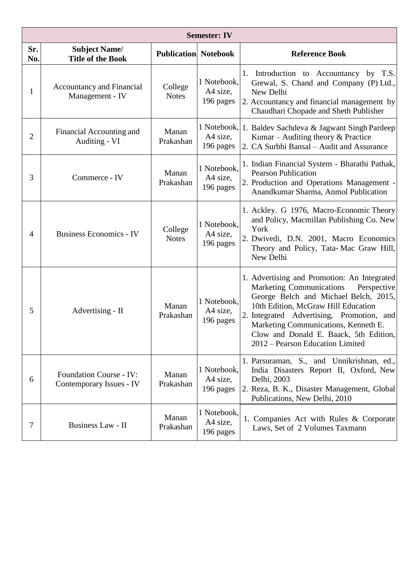| <b>Semester: IV</b> |                                                            |                             |                                      |                                                                                                                                                                                                                                                                                                                                                  |  |  |
|---------------------|------------------------------------------------------------|-----------------------------|--------------------------------------|--------------------------------------------------------------------------------------------------------------------------------------------------------------------------------------------------------------------------------------------------------------------------------------------------------------------------------------------------|--|--|
| Sr.<br>No.          | <b>Subject Name/</b><br><b>Title of the Book</b>           | <b>Publication Notebook</b> |                                      | <b>Reference Book</b>                                                                                                                                                                                                                                                                                                                            |  |  |
| $\mathbf{1}$        | <b>Accountancy and Financial</b><br>Management - IV        | College<br><b>Notes</b>     | 1 Notebook,<br>A4 size,<br>196 pages | 1. Introduction to Accountancy by T.S.<br>Grewal, S. Chand and Company (P) Ltd.,<br>New Delhi<br>2. Accountancy and financial management by<br>Chaudhari Chopade and Sheth Publisher                                                                                                                                                             |  |  |
| 2                   | Financial Accounting and<br>Auditing - VI                  | Manan<br>Prakashan          | A4 size,<br>196 pages                | 1 Notebook, 1. Baldev Sachdeva & Jagwant Singh Pardeep<br>Kumar – Auditing theory & Practice<br>2. CA Surbhi Bansal – Audit and Assurance                                                                                                                                                                                                        |  |  |
| 3                   | Commerce - IV                                              | Manan<br>Prakashan          | 1 Notebook,<br>A4 size,<br>196 pages | 1. Indian Financial System - Bharathi Pathak,<br><b>Pearson Publication</b><br>2. Production and Operations Management -<br>Anandkumar Sharma, Anmol Publication                                                                                                                                                                                 |  |  |
| $\overline{4}$      | <b>Business Economics - IV</b>                             | College<br><b>Notes</b>     | 1 Notebook,<br>A4 size,<br>196 pages | 1. Ackley. G 1976, Macro-Economic Theory<br>and Policy, Macmillan Publishing Co. New<br>York<br>2. Dwivedi, D.N. 2001, Macro Economics<br>Theory and Policy, Tata-Mac Graw Hill,<br>New Delhi                                                                                                                                                    |  |  |
| 5                   | Advertising - II                                           | Manan<br>Prakashan          | 1 Notebook,<br>A4 size,<br>196 pages | 1. Advertising and Promotion: An Integrated<br><b>Marketing Communications</b><br>Perspective<br>George Belch and Michael Belch, 2015,<br>10th Edition, McGraw Hill Education<br>2. Integrated Advertising, Promotion, and<br>Marketing Communications, Kenneth E.<br>Clow and Donald E. Baack, 5th Edition,<br>2012 – Pearson Education Limited |  |  |
| 6                   | <b>Foundation Course - IV:</b><br>Contemporary Issues - IV | Manan<br>Prakashan          | 1 Notebook,<br>A4 size,<br>196 pages | 1. Parsuraman, S., and Unnikrishnan, ed.,<br>India Disasters Report II, Oxford, New<br>Delhi, 2003<br>2. Reza, B. K., Disaster Management, Global<br>Publications, New Delhi, 2010                                                                                                                                                               |  |  |
| 7                   | Business Law - II                                          | Manan<br>Prakashan          | 1 Notebook,<br>A4 size,<br>196 pages | 1. Companies Act with Rules & Corporate<br>Laws, Set of 2 Volumes Taxmann                                                                                                                                                                                                                                                                        |  |  |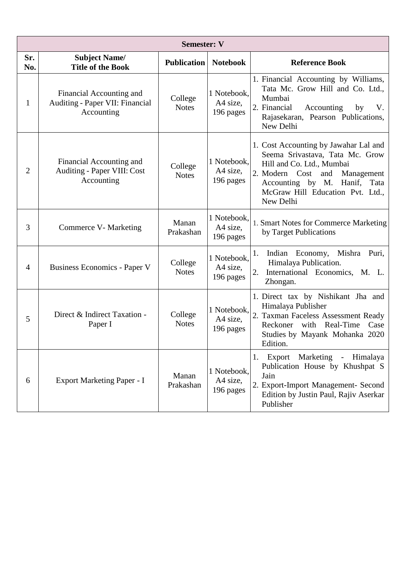| <b>Semester: V</b> |                                                                           |                         |                                      |                                                                                                                                                                                                                            |  |  |
|--------------------|---------------------------------------------------------------------------|-------------------------|--------------------------------------|----------------------------------------------------------------------------------------------------------------------------------------------------------------------------------------------------------------------------|--|--|
| Sr.<br>No.         | <b>Subject Name/</b><br><b>Title of the Book</b>                          | <b>Publication</b>      | <b>Notebook</b>                      | <b>Reference Book</b>                                                                                                                                                                                                      |  |  |
| $\mathbf{1}$       | Financial Accounting and<br>Auditing - Paper VII: Financial<br>Accounting | College<br><b>Notes</b> | 1 Notebook,<br>A4 size,<br>196 pages | 1. Financial Accounting by Williams,<br>Tata Mc. Grow Hill and Co. Ltd.,<br>Mumbai<br>2. Financial<br>Accounting<br>V.<br>by<br>Rajasekaran, Pearson Publications,<br>New Delhi                                            |  |  |
| $\overline{2}$     | Financial Accounting and<br>Auditing - Paper VIII: Cost<br>Accounting     | College<br><b>Notes</b> | 1 Notebook,<br>A4 size,<br>196 pages | 1. Cost Accounting by Jawahar Lal and<br>Seema Srivastava, Tata Mc. Grow<br>Hill and Co. Ltd., Mumbai<br>2. Modern Cost and<br>Management<br>Accounting by M. Hanif, Tata<br>McGraw Hill Education Pvt. Ltd.,<br>New Delhi |  |  |
| 3                  | Commerce V- Marketing                                                     | Manan<br>Prakashan      | 1 Notebook,<br>A4 size,<br>196 pages | 1. Smart Notes for Commerce Marketing<br>by Target Publications                                                                                                                                                            |  |  |
| $\overline{4}$     | <b>Business Economics - Paper V</b>                                       | College<br><b>Notes</b> | 1 Notebook,<br>A4 size,<br>196 pages | Indian Economy, Mishra<br>Puri,<br>1.<br>Himalaya Publication.<br>2.<br>International Economics, M. L.<br>Zhongan.                                                                                                         |  |  |
| 5                  | Direct & Indirect Taxation -<br>Paper I                                   | College<br><b>Notes</b> | 1 Notebook,<br>A4 size,<br>196 pages | 1. Direct tax by Nishikant Jha and<br>Himalaya Publisher<br>2. Taxman Faceless Assessment Ready<br>Reckoner with Real-Time<br>Case<br>Studies by Mayank Mohanka 2020<br>Edition.                                           |  |  |
| 6                  | Export Marketing Paper - I                                                | Manan<br>Prakashan      | 1 Notebook,<br>A4 size,<br>196 pages | Marketing<br>Export<br>- Himalaya<br>1.<br>Publication House by Khushpat S<br>Jain<br>2. Export-Import Management- Second<br>Edition by Justin Paul, Rajiv Aserkar<br>Publisher                                            |  |  |